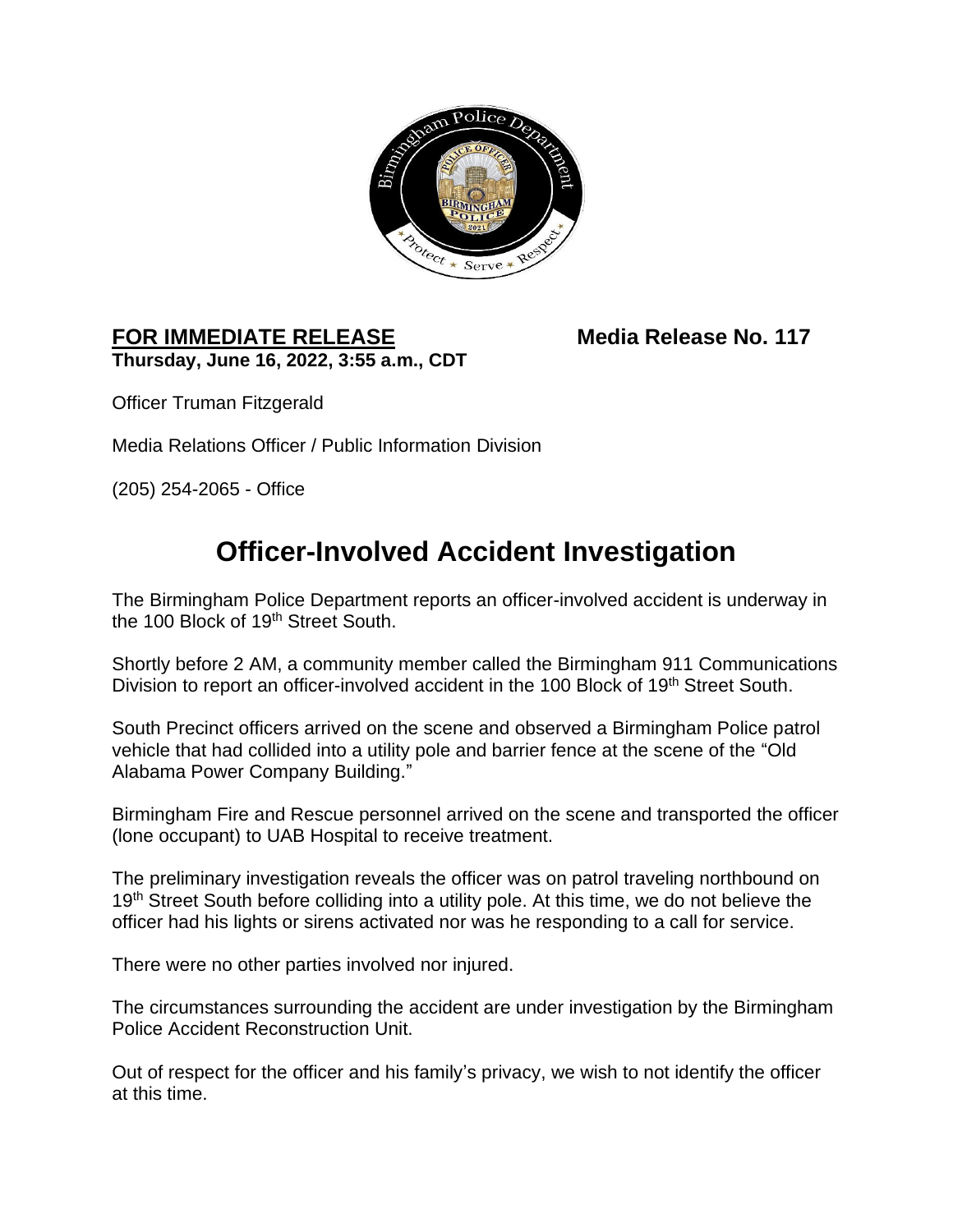

## **FOR IMMEDIATE RELEASE Media Release No. 117 Thursday, June 16, 2022, 3:55 a.m., CDT**

Officer Truman Fitzgerald

Media Relations Officer / Public Information Division

(205) 254-2065 - Office

## **Officer-Involved Accident Investigation**

The Birmingham Police Department reports an officer-involved accident is underway in the 100 Block of 19<sup>th</sup> Street South.

Shortly before 2 AM, a community member called the Birmingham 911 Communications Division to report an officer-involved accident in the 100 Block of 19<sup>th</sup> Street South.

South Precinct officers arrived on the scene and observed a Birmingham Police patrol vehicle that had collided into a utility pole and barrier fence at the scene of the "Old Alabama Power Company Building."

Birmingham Fire and Rescue personnel arrived on the scene and transported the officer (lone occupant) to UAB Hospital to receive treatment.

The preliminary investigation reveals the officer was on patrol traveling northbound on 19<sup>th</sup> Street South before colliding into a utility pole. At this time, we do not believe the officer had his lights or sirens activated nor was he responding to a call for service.

There were no other parties involved nor injured.

The circumstances surrounding the accident are under investigation by the Birmingham Police Accident Reconstruction Unit.

Out of respect for the officer and his family's privacy, we wish to not identify the officer at this time.